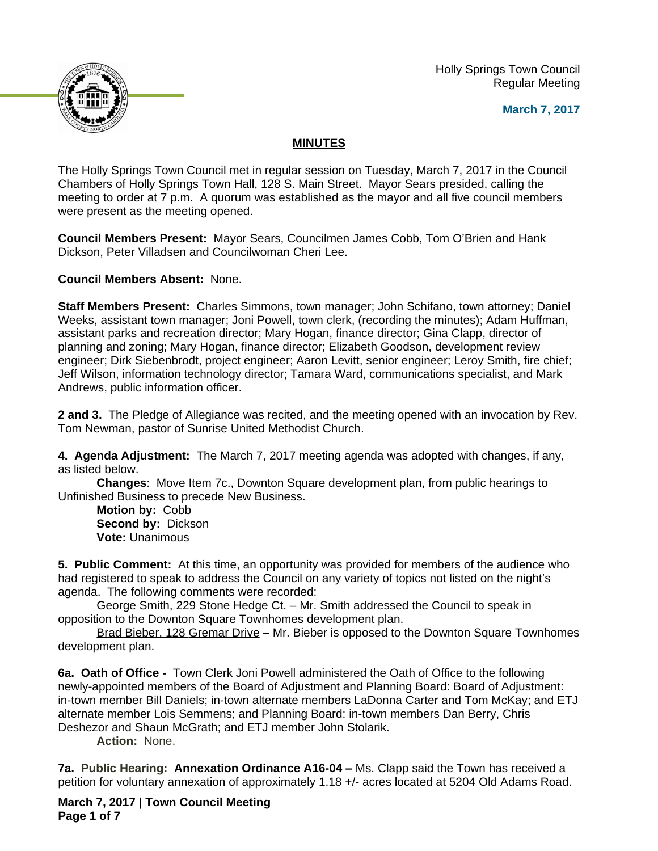Holly Springs Town Council Regular Meeting





## **MINUTES**

The Holly Springs Town Council met in regular session on Tuesday, March 7, 2017 in the Council Chambers of Holly Springs Town Hall, 128 S. Main Street. Mayor Sears presided, calling the meeting to order at 7 p.m. A quorum was established as the mayor and all five council members were present as the meeting opened.

**Council Members Present:** Mayor Sears, Councilmen James Cobb, Tom O'Brien and Hank Dickson, Peter Villadsen and Councilwoman Cheri Lee.

**Council Members Absent:** None.

**Staff Members Present:** Charles Simmons, town manager; John Schifano, town attorney; Daniel Weeks, assistant town manager; Joni Powell, town clerk, (recording the minutes); Adam Huffman, assistant parks and recreation director; Mary Hogan, finance director; Gina Clapp, director of planning and zoning; Mary Hogan, finance director; Elizabeth Goodson, development review engineer; Dirk Siebenbrodt, project engineer; Aaron Levitt, senior engineer; Leroy Smith, fire chief; Jeff Wilson, information technology director; Tamara Ward, communications specialist, and Mark Andrews, public information officer.

**2 and 3.** The Pledge of Allegiance was recited, and the meeting opened with an invocation by Rev. Tom Newman, pastor of Sunrise United Methodist Church.

**4. Agenda Adjustment:** The March 7, 2017 meeting agenda was adopted with changes, if any, as listed below.

**Changes**: Move Item 7c., Downton Square development plan, from public hearings to Unfinished Business to precede New Business.

**Motion by:** Cobb **Second by:** Dickson **Vote:** Unanimous

**5. Public Comment:** At this time, an opportunity was provided for members of the audience who had registered to speak to address the Council on any variety of topics not listed on the night's agenda. The following comments were recorded:

George Smith, 229 Stone Hedge Ct. – Mr. Smith addressed the Council to speak in opposition to the Downton Square Townhomes development plan.

Brad Bieber, 128 Gremar Drive – Mr. Bieber is opposed to the Downton Square Townhomes development plan.

**6a. Oath of Office -** Town Clerk Joni Powell administered the Oath of Office to the following newly-appointed members of the Board of Adjustment and Planning Board: Board of Adjustment: in-town member Bill Daniels; in-town alternate members LaDonna Carter and Tom McKay; and ETJ alternate member Lois Semmens; and Planning Board: in-town members Dan Berry, Chris Deshezor and Shaun McGrath; and ETJ member John Stolarik.

**Action:** None.

**7a. Public Hearing: Annexation Ordinance A16-04 – Ms. Clapp said the Town has received a** petition for voluntary annexation of approximately 1.18 +/- acres located at 5204 Old Adams Road.

**March 7, 2017 | Town Council Meeting Page 1 of 7**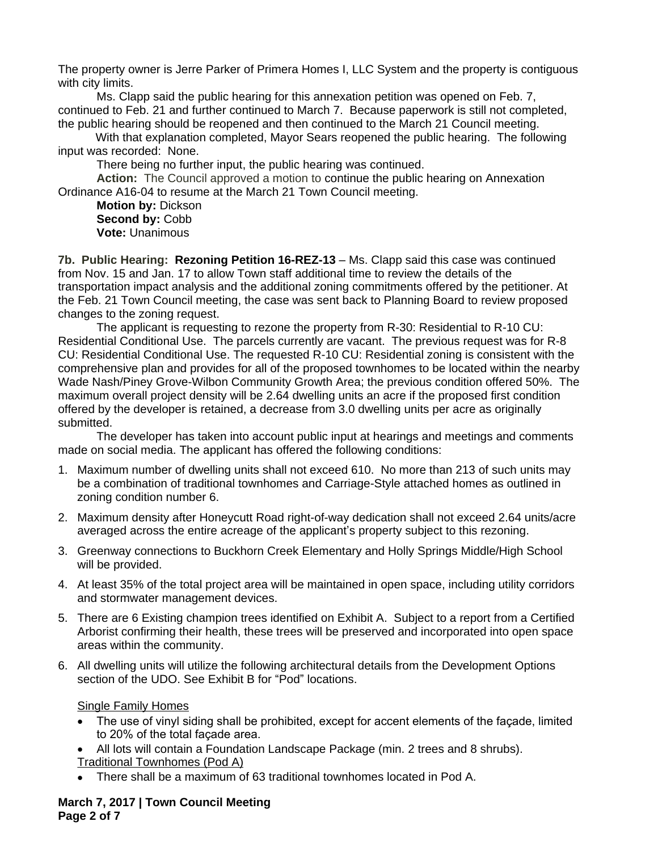The property owner is Jerre Parker of Primera Homes I, LLC System and the property is contiguous with city limits.

Ms. Clapp said the public hearing for this annexation petition was opened on Feb. 7, continued to Feb. 21 and further continued to March 7. Because paperwork is still not completed, the public hearing should be reopened and then continued to the March 21 Council meeting.

With that explanation completed, Mayor Sears reopened the public hearing. The following input was recorded: None.

There being no further input, the public hearing was continued.

**Action:** The Council approved a motion to continue the public hearing on Annexation Ordinance A16-04 to resume at the March 21 Town Council meeting.

**Motion by:** Dickson Second by: Cobb **Vote:** Unanimous

**7b. Public Hearing: Rezoning Petition 16-REZ-13** – Ms. Clapp said this case was continued from Nov. 15 and Jan. 17 to allow Town staff additional time to review the details of the transportation impact analysis and the additional zoning commitments offered by the petitioner. At the Feb. 21 Town Council meeting, the case was sent back to Planning Board to review proposed changes to the zoning request.

The applicant is requesting to rezone the property from R-30: Residential to R-10 CU: Residential Conditional Use. The parcels currently are vacant. The previous request was for R-8 CU: Residential Conditional Use. The requested R-10 CU: Residential zoning is consistent with the comprehensive plan and provides for all of the proposed townhomes to be located within the nearby Wade Nash/Piney Grove-Wilbon Community Growth Area; the previous condition offered 50%. The maximum overall project density will be 2.64 dwelling units an acre if the proposed first condition offered by the developer is retained, a decrease from 3.0 dwelling units per acre as originally submitted.

The developer has taken into account public input at hearings and meetings and comments made on social media. The applicant has offered the following conditions:

- 1. Maximum number of dwelling units shall not exceed 610. No more than 213 of such units may be a combination of traditional townhomes and Carriage-Style attached homes as outlined in zoning condition number 6.
- 2. Maximum density after Honeycutt Road right-of-way dedication shall not exceed 2.64 units/acre averaged across the entire acreage of the applicant's property subject to this rezoning.
- 3. Greenway connections to Buckhorn Creek Elementary and Holly Springs Middle/High School will be provided.
- 4. At least 35% of the total project area will be maintained in open space, including utility corridors and stormwater management devices.
- 5. There are 6 Existing champion trees identified on Exhibit A. Subject to a report from a Certified Arborist confirming their health, these trees will be preserved and incorporated into open space areas within the community.
- 6. All dwelling units will utilize the following architectural details from the Development Options section of the UDO. See Exhibit B for "Pod" locations.

Single Family Homes

- The use of vinyl siding shall be prohibited, except for accent elements of the façade, limited to 20% of the total façade area.
- All lots will contain a Foundation Landscape Package (min. 2 trees and 8 shrubs).
- Traditional Townhomes (Pod A)
- There shall be a maximum of 63 traditional townhomes located in Pod A.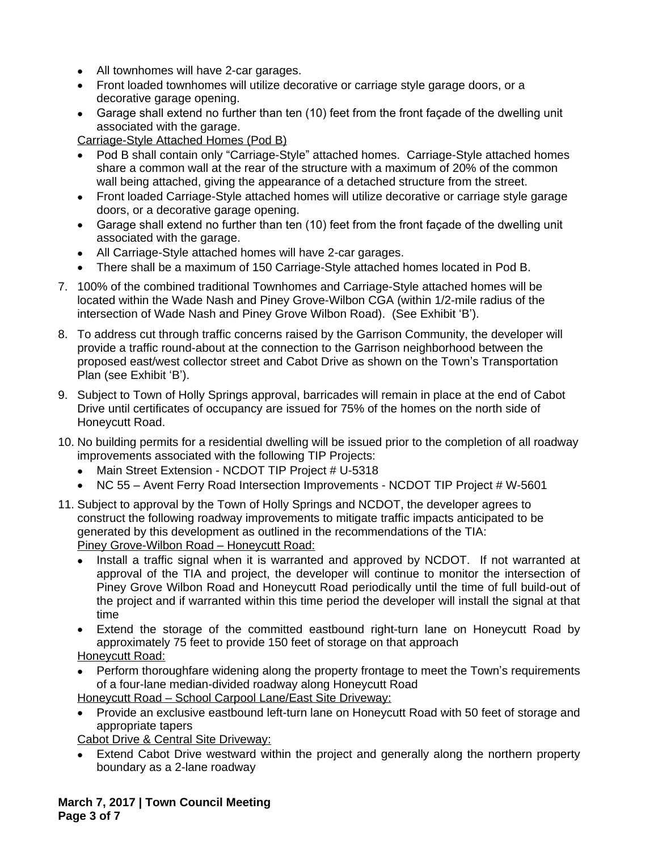- All townhomes will have 2-car garages.
- Front loaded townhomes will utilize decorative or carriage style garage doors, or a decorative garage opening.
- Garage shall extend no further than ten (10) feet from the front façade of the dwelling unit associated with the garage.

Carriage-Style Attached Homes (Pod B)

- Pod B shall contain only "Carriage-Style" attached homes. Carriage-Style attached homes share a common wall at the rear of the structure with a maximum of 20% of the common wall being attached, giving the appearance of a detached structure from the street.
- Front loaded Carriage-Style attached homes will utilize decorative or carriage style garage doors, or a decorative garage opening.
- Garage shall extend no further than ten (10) feet from the front façade of the dwelling unit associated with the garage.
- All Carriage-Style attached homes will have 2-car garages.
- There shall be a maximum of 150 Carriage-Style attached homes located in Pod B.
- 7. 100% of the combined traditional Townhomes and Carriage-Style attached homes will be located within the Wade Nash and Piney Grove-Wilbon CGA (within 1/2-mile radius of the intersection of Wade Nash and Piney Grove Wilbon Road). (See Exhibit 'B').
- 8. To address cut through traffic concerns raised by the Garrison Community, the developer will provide a traffic round-about at the connection to the Garrison neighborhood between the proposed east/west collector street and Cabot Drive as shown on the Town's Transportation Plan (see Exhibit 'B').
- 9. Subject to Town of Holly Springs approval, barricades will remain in place at the end of Cabot Drive until certificates of occupancy are issued for 75% of the homes on the north side of Honeycutt Road.
- 10. No building permits for a residential dwelling will be issued prior to the completion of all roadway improvements associated with the following TIP Projects:
	- Main Street Extension NCDOT TIP Project # U-5318
	- NC 55 Avent Ferry Road Intersection Improvements NCDOT TIP Project # W-5601
- 11. Subject to approval by the Town of Holly Springs and NCDOT, the developer agrees to construct the following roadway improvements to mitigate traffic impacts anticipated to be generated by this development as outlined in the recommendations of the TIA: Piney Grove-Wilbon Road – Honeycutt Road:
	- Install a traffic signal when it is warranted and approved by NCDOT. If not warranted at approval of the TIA and project, the developer will continue to monitor the intersection of Piney Grove Wilbon Road and Honeycutt Road periodically until the time of full build-out of the project and if warranted within this time period the developer will install the signal at that time
	- Extend the storage of the committed eastbound right-turn lane on Honeycutt Road by approximately 75 feet to provide 150 feet of storage on that approach

Honeycutt Road:

 Perform thoroughfare widening along the property frontage to meet the Town's requirements of a four-lane median-divided roadway along Honeycutt Road

Honeycutt Road – School Carpool Lane/East Site Driveway:

 Provide an exclusive eastbound left-turn lane on Honeycutt Road with 50 feet of storage and appropriate tapers

Cabot Drive & Central Site Driveway:

 Extend Cabot Drive westward within the project and generally along the northern property boundary as a 2-lane roadway

**March 7, 2017 | Town Council Meeting Page 3 of 7**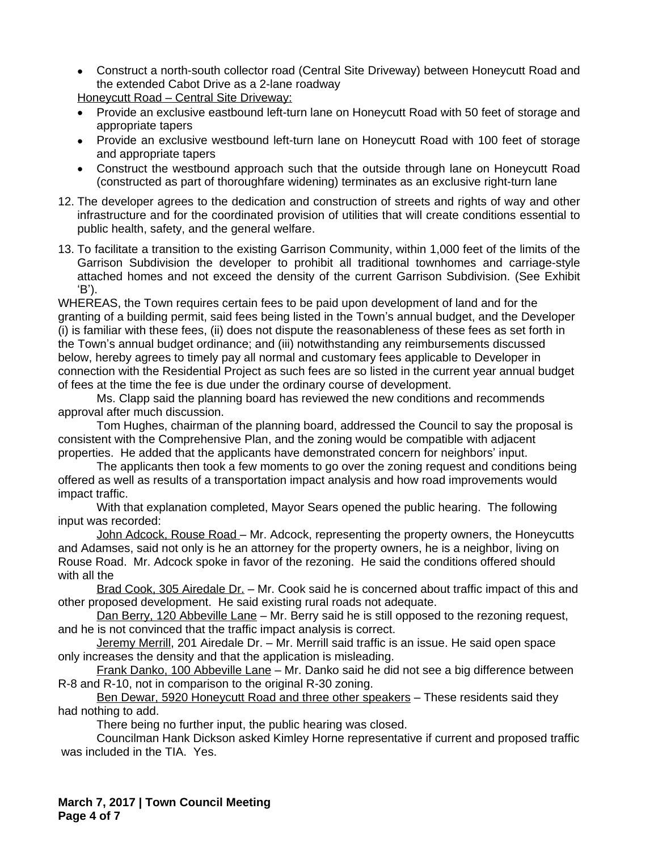Construct a north-south collector road (Central Site Driveway) between Honeycutt Road and the extended Cabot Drive as a 2-lane roadway

Honeycutt Road – Central Site Driveway:

- Provide an exclusive eastbound left-turn lane on Honeycutt Road with 50 feet of storage and appropriate tapers
- Provide an exclusive westbound left-turn lane on Honeycutt Road with 100 feet of storage and appropriate tapers
- Construct the westbound approach such that the outside through lane on Honeycutt Road (constructed as part of thoroughfare widening) terminates as an exclusive right-turn lane
- 12. The developer agrees to the dedication and construction of streets and rights of way and other infrastructure and for the coordinated provision of utilities that will create conditions essential to public health, safety, and the general welfare.
- 13. To facilitate a transition to the existing Garrison Community, within 1,000 feet of the limits of the Garrison Subdivision the developer to prohibit all traditional townhomes and carriage-style attached homes and not exceed the density of the current Garrison Subdivision. (See Exhibit 'B').

WHEREAS, the Town requires certain fees to be paid upon development of land and for the granting of a building permit, said fees being listed in the Town's annual budget, and the Developer (i) is familiar with these fees, (ii) does not dispute the reasonableness of these fees as set forth in the Town's annual budget ordinance; and (iii) notwithstanding any reimbursements discussed below, hereby agrees to timely pay all normal and customary fees applicable to Developer in connection with the Residential Project as such fees are so listed in the current year annual budget of fees at the time the fee is due under the ordinary course of development.

Ms. Clapp said the planning board has reviewed the new conditions and recommends approval after much discussion.

Tom Hughes, chairman of the planning board, addressed the Council to say the proposal is consistent with the Comprehensive Plan, and the zoning would be compatible with adjacent properties. He added that the applicants have demonstrated concern for neighbors' input.

The applicants then took a few moments to go over the zoning request and conditions being offered as well as results of a transportation impact analysis and how road improvements would impact traffic.

With that explanation completed, Mayor Sears opened the public hearing. The following input was recorded:

John Adcock, Rouse Road – Mr. Adcock, representing the property owners, the Honeycutts and Adamses, said not only is he an attorney for the property owners, he is a neighbor, living on Rouse Road. Mr. Adcock spoke in favor of the rezoning. He said the conditions offered should with all the

Brad Cook, 305 Airedale Dr. - Mr. Cook said he is concerned about traffic impact of this and other proposed development. He said existing rural roads not adequate.

Dan Berry, 120 Abbeville Lane – Mr. Berry said he is still opposed to the rezoning request, and he is not convinced that the traffic impact analysis is correct.

Jeremy Merrill, 201 Airedale Dr. – Mr. Merrill said traffic is an issue. He said open space only increases the density and that the application is misleading.

Frank Danko, 100 Abbeville Lane – Mr. Danko said he did not see a big difference between R-8 and R-10, not in comparison to the original R-30 zoning.

Ben Dewar, 5920 Honeycutt Road and three other speakers – These residents said they had nothing to add.

There being no further input, the public hearing was closed.

Councilman Hank Dickson asked Kimley Horne representative if current and proposed traffic was included in the TIA. Yes.

**March 7, 2017 | Town Council Meeting Page 4 of 7**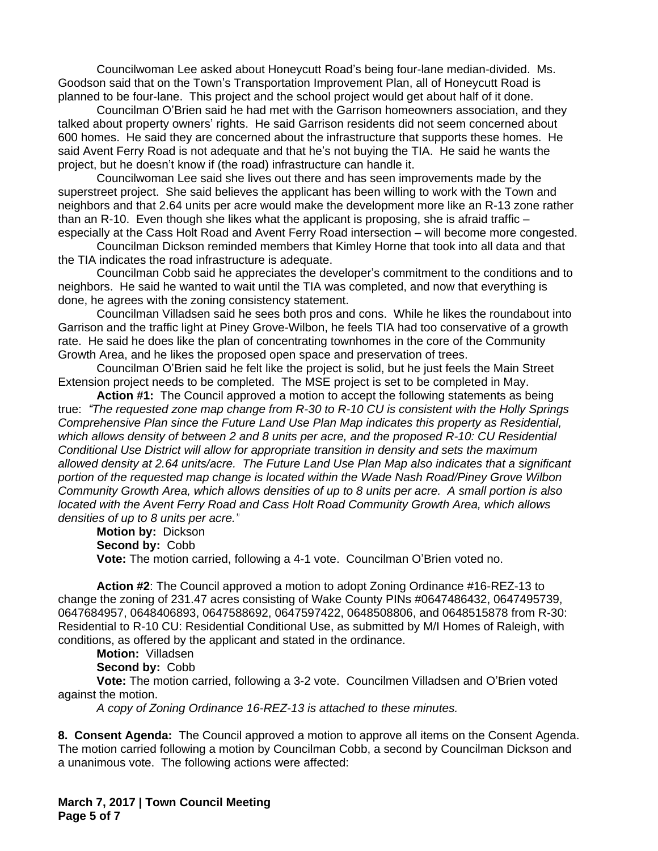Councilwoman Lee asked about Honeycutt Road's being four-lane median-divided. Ms. Goodson said that on the Town's Transportation Improvement Plan, all of Honeycutt Road is planned to be four-lane. This project and the school project would get about half of it done.

Councilman O'Brien said he had met with the Garrison homeowners association, and they talked about property owners' rights. He said Garrison residents did not seem concerned about 600 homes. He said they are concerned about the infrastructure that supports these homes. He said Avent Ferry Road is not adequate and that he's not buying the TIA. He said he wants the project, but he doesn't know if (the road) infrastructure can handle it.

Councilwoman Lee said she lives out there and has seen improvements made by the superstreet project. She said believes the applicant has been willing to work with the Town and neighbors and that 2.64 units per acre would make the development more like an R-13 zone rather than an R-10. Even though she likes what the applicant is proposing, she is afraid traffic – especially at the Cass Holt Road and Avent Ferry Road intersection – will become more congested.

Councilman Dickson reminded members that Kimley Horne that took into all data and that the TIA indicates the road infrastructure is adequate.

Councilman Cobb said he appreciates the developer's commitment to the conditions and to neighbors. He said he wanted to wait until the TIA was completed, and now that everything is done, he agrees with the zoning consistency statement.

Councilman Villadsen said he sees both pros and cons. While he likes the roundabout into Garrison and the traffic light at Piney Grove-Wilbon, he feels TIA had too conservative of a growth rate. He said he does like the plan of concentrating townhomes in the core of the Community Growth Area, and he likes the proposed open space and preservation of trees.

Councilman O'Brien said he felt like the project is solid, but he just feels the Main Street Extension project needs to be completed. The MSE project is set to be completed in May.

**Action #1:** The Council approved a motion to accept the following statements as being true: *"The requested zone map change from R-30 to R-10 CU is consistent with the Holly Springs Comprehensive Plan since the Future Land Use Plan Map indicates this property as Residential, which allows density of between 2 and 8 units per acre, and the proposed R-10: CU Residential Conditional Use District will allow for appropriate transition in density and sets the maximum allowed density at 2.64 units/acre. The Future Land Use Plan Map also indicates that a significant portion of the requested map change is located within the Wade Nash Road/Piney Grove Wilbon Community Growth Area, which allows densities of up to 8 units per acre. A small portion is also located with the Avent Ferry Road and Cass Holt Road Community Growth Area, which allows densities of up to 8 units per acre."*

**Motion by:** Dickson **Second by:** Cobb **Vote:** The motion carried, following a 4-1 vote. Councilman O'Brien voted no.

**Action #2**: The Council approved a motion to adopt Zoning Ordinance #16-REZ-13 to change the zoning of 231.47 acres consisting of Wake County PINs #0647486432, 0647495739, 0647684957, 0648406893, 0647588692, 0647597422, 0648508806, and 0648515878 from R-30: Residential to R-10 CU: Residential Conditional Use, as submitted by M/I Homes of Raleigh, with conditions, as offered by the applicant and stated in the ordinance.

**Motion:** Villadsen

**Second by:** Cobb

**Vote:** The motion carried, following a 3-2 vote. Councilmen Villadsen and O'Brien voted against the motion.

*A copy of Zoning Ordinance 16-REZ-13 is attached to these minutes.*

**8. Consent Agenda:** The Council approved a motion to approve all items on the Consent Agenda. The motion carried following a motion by Councilman Cobb, a second by Councilman Dickson and a unanimous vote. The following actions were affected:

**March 7, 2017 | Town Council Meeting Page 5 of 7**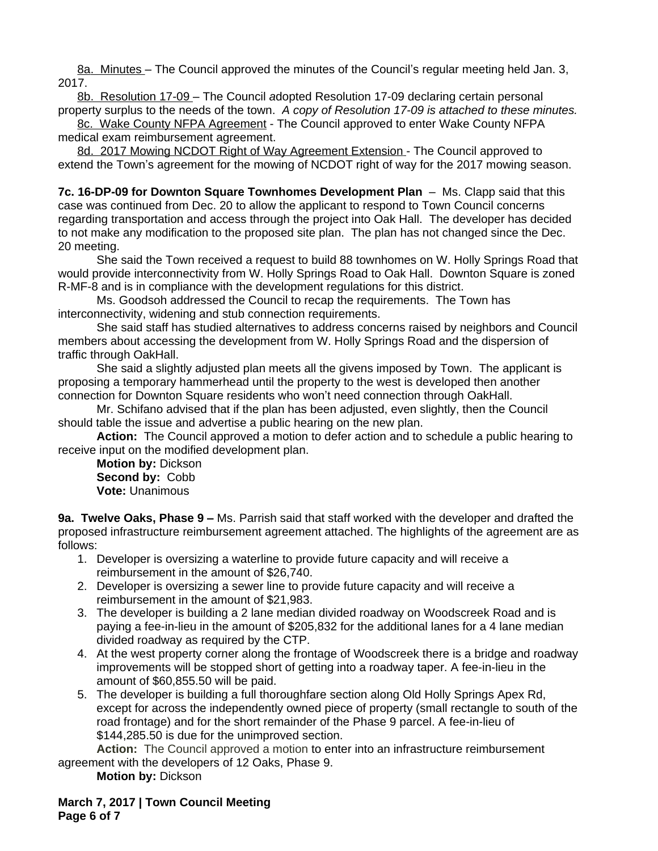8a. Minutes – The Council approved the minutes of the Council's regular meeting held Jan. 3, 2017.

8b. Resolution 17-09 – The Council *a*dopted Resolution 17-09 declaring certain personal property surplus to the needs of the town. *A copy of Resolution 17-09 is attached to these minutes.*

8c. Wake County NFPA Agreement - The Council approved to enter Wake County NFPA medical exam reimbursement agreement.

8d. 2017 Mowing NCDOT Right of Way Agreement Extension - The Council approved to extend the Town's agreement for the mowing of NCDOT right of way for the 2017 mowing season.

**7c. 16-DP-09 for Downton Square Townhomes Development Plan** – Ms. Clapp said that this case was continued from Dec. 20 to allow the applicant to respond to Town Council concerns regarding transportation and access through the project into Oak Hall. The developer has decided to not make any modification to the proposed site plan. The plan has not changed since the Dec. 20 meeting.

She said the Town received a request to build 88 townhomes on W. Holly Springs Road that would provide interconnectivity from W. Holly Springs Road to Oak Hall. Downton Square is zoned R-MF-8 and is in compliance with the development regulations for this district.

Ms. Goodsoh addressed the Council to recap the requirements. The Town has interconnectivity, widening and stub connection requirements.

She said staff has studied alternatives to address concerns raised by neighbors and Council members about accessing the development from W. Holly Springs Road and the dispersion of traffic through OakHall.

She said a slightly adjusted plan meets all the givens imposed by Town. The applicant is proposing a temporary hammerhead until the property to the west is developed then another connection for Downton Square residents who won't need connection through OakHall.

Mr. Schifano advised that if the plan has been adjusted, even slightly, then the Council should table the issue and advertise a public hearing on the new plan.

**Action:** The Council approved a motion to defer action and to schedule a public hearing to receive input on the modified development plan.

**Motion by:** Dickson **Second by:** Cobb **Vote:** Unanimous

**9a. Twelve Oaks, Phase 9 –** Ms. Parrish said that staff worked with the developer and drafted the proposed infrastructure reimbursement agreement attached. The highlights of the agreement are as follows:

- 1. Developer is oversizing a waterline to provide future capacity and will receive a reimbursement in the amount of \$26,740.
- 2. Developer is oversizing a sewer line to provide future capacity and will receive a reimbursement in the amount of \$21,983.
- 3. The developer is building a 2 lane median divided roadway on Woodscreek Road and is paying a fee-in-lieu in the amount of \$205,832 for the additional lanes for a 4 lane median divided roadway as required by the CTP.
- 4. At the west property corner along the frontage of Woodscreek there is a bridge and roadway improvements will be stopped short of getting into a roadway taper. A fee-in-lieu in the amount of \$60,855.50 will be paid.
- 5. The developer is building a full thoroughfare section along Old Holly Springs Apex Rd, except for across the independently owned piece of property (small rectangle to south of the road frontage) and for the short remainder of the Phase 9 parcel. A fee-in-lieu of \$144,285.50 is due for the unimproved section.

**Action:** The Council approved a motion to enter into an infrastructure reimbursement agreement with the developers of 12 Oaks, Phase 9.

**Motion by:** Dickson

**March 7, 2017 | Town Council Meeting Page 6 of 7**